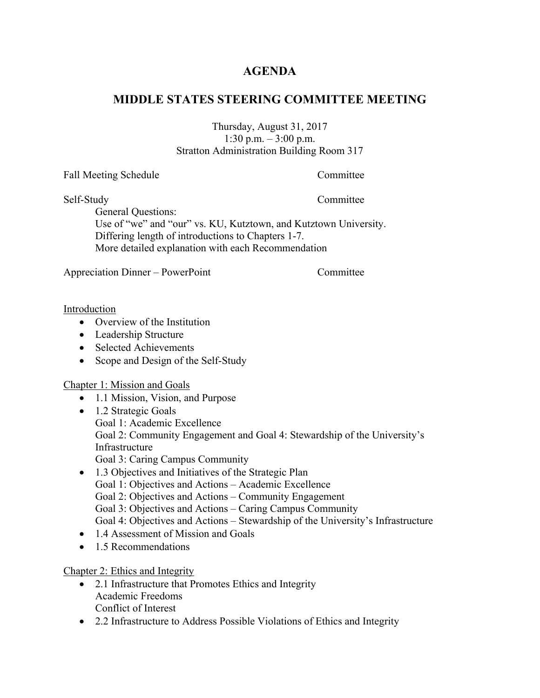## **AGENDA**

## **MIDDLE STATES STEERING COMMITTEE MEETING**

Thursday, August 31, 2017 1:30 p.m. – 3:00 p.m. Stratton Administration Building Room 317

Fall Meeting Schedule Committee

Self-Study Committee

General Questions:

Use of "we" and "our" vs. KU, Kutztown, and Kutztown University. Differing length of introductions to Chapters 1-7. More detailed explanation with each Recommendation

Appreciation Dinner – PowerPoint Committee

Introduction

- Overview of the Institution
- Leadership Structure
- Selected Achievements
- Scope and Design of the Self-Study

Chapter 1: Mission and Goals

- 1.1 Mission, Vision, and Purpose
- 1.2 Strategic Goals Goal 1: Academic Excellence Goal 2: Community Engagement and Goal 4: Stewardship of the University's Infrastructure Goal 3: Caring Campus Community
- 1.3 Objectives and Initiatives of the Strategic Plan Goal 1: Objectives and Actions – Academic Excellence Goal 2: Objectives and Actions – Community Engagement Goal 3: Objectives and Actions – Caring Campus Community Goal 4: Objectives and Actions – Stewardship of the University's Infrastructure
- 1.4 Assessment of Mission and Goals
- 1.5 Recommendations

#### Chapter 2: Ethics and Integrity

- 2.1 Infrastructure that Promotes Ethics and Integrity Academic Freedoms Conflict of Interest
- 2.2 Infrastructure to Address Possible Violations of Ethics and Integrity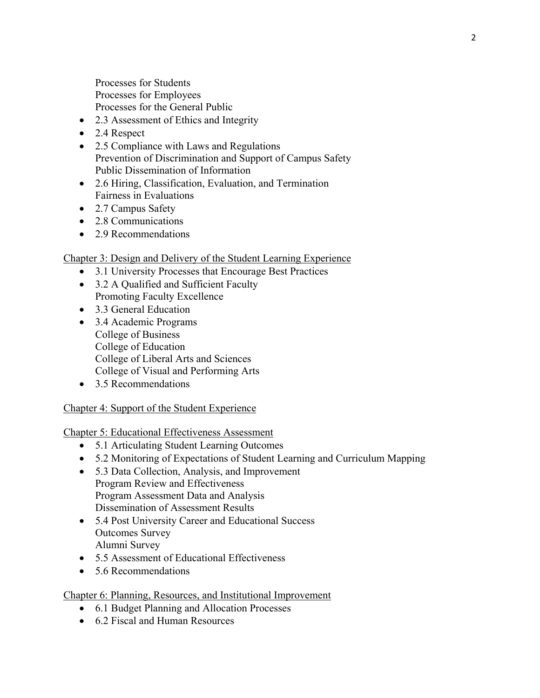Processes for Students Processes for Employees Processes for the General Public

- 2.3 Assessment of Ethics and Integrity
- 2.4 Respect
- 2.5 Compliance with Laws and Regulations Prevention of Discrimination and Support of Campus Safety Public Dissemination of Information
- 2.6 Hiring, Classification, Evaluation, and Termination Fairness in Evaluations
- 2.7 Campus Safety
- 2.8 Communications
- 2.9 Recommendations

#### Chapter 3: Design and Delivery of the Student Learning Experience

- 3.1 University Processes that Encourage Best Practices
- 3.2 A Qualified and Sufficient Faculty Promoting Faculty Excellence
- 3.3 General Education
- 3.4 Academic Programs College of Business College of Education College of Liberal Arts and Sciences College of Visual and Performing Arts
- 3.5 Recommendations

#### Chapter 4: Support of the Student Experience

#### Chapter 5: Educational Effectiveness Assessment

- 5.1 Articulating Student Learning Outcomes
- 5.2 Monitoring of Expectations of Student Learning and Curriculum Mapping
- 5.3 Data Collection, Analysis, and Improvement Program Review and Effectiveness Program Assessment Data and Analysis Dissemination of Assessment Results
- 5.4 Post University Career and Educational Success Outcomes Survey Alumni Survey
- 5.5 Assessment of Educational Effectiveness
- 5.6 Recommendations

#### Chapter 6: Planning, Resources, and Institutional Improvement

- 6.1 Budget Planning and Allocation Processes
- 6.2 Fiscal and Human Resources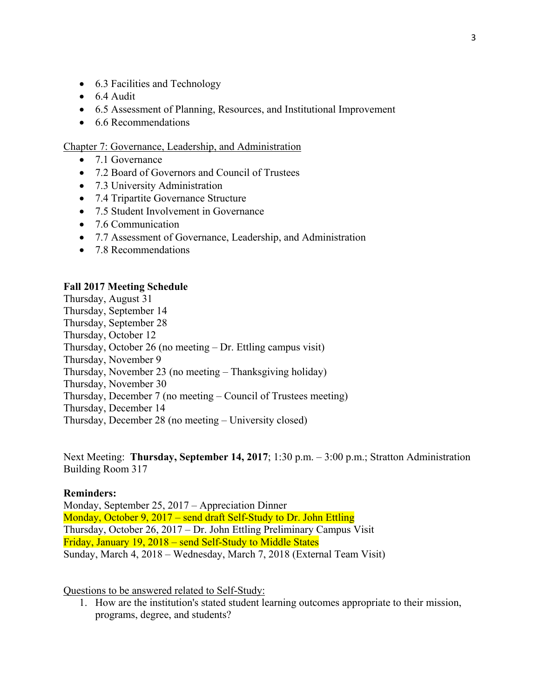- 6.3 Facilities and Technology
- $\bullet$  6.4 Audit
- 6.5 Assessment of Planning, Resources, and Institutional Improvement
- 6.6 Recommendations

Chapter 7: Governance, Leadership, and Administration

- 7.1 Governance
- 7.2 Board of Governors and Council of Trustees
- 7.3 University Administration
- 7.4 Tripartite Governance Structure
- 7.5 Student Involvement in Governance
- 7.6 Communication
- 7.7 Assessment of Governance, Leadership, and Administration
- 7.8 Recommendations

#### **Fall 2017 Meeting Schedule**

Thursday, August 31 Thursday, September 14 Thursday, September 28 Thursday, October 12 Thursday, October 26 (no meeting – Dr. Ettling campus visit) Thursday, November 9 Thursday, November 23 (no meeting – Thanksgiving holiday) Thursday, November 30 Thursday, December 7 (no meeting – Council of Trustees meeting) Thursday, December 14 Thursday, December 28 (no meeting – University closed)

Next Meeting: **Thursday, September 14, 2017**; 1:30 p.m. – 3:00 p.m.; Stratton Administration Building Room 317

#### **Reminders:**

Monday, September 25, 2017 – Appreciation Dinner Monday, October 9, 2017 – send draft Self-Study to Dr. John Ettling Thursday, October 26, 2017 – Dr. John Ettling Preliminary Campus Visit Friday, January 19, 2018 – send Self-Study to Middle States Sunday, March 4, 2018 – Wednesday, March 7, 2018 (External Team Visit)

Questions to be answered related to Self-Study:

1. How are the institution's stated student learning outcomes appropriate to their mission, programs, degree, and students?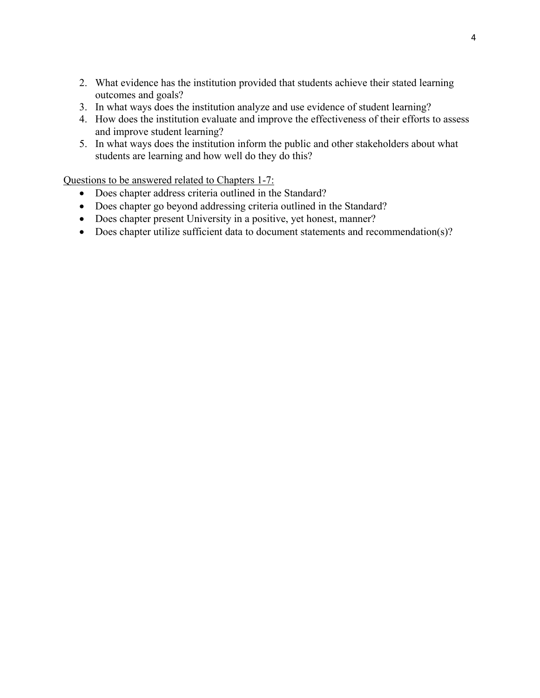- 2. What evidence has the institution provided that students achieve their stated learning outcomes and goals?
- 3. In what ways does the institution analyze and use evidence of student learning?
- 4. How does the institution evaluate and improve the effectiveness of their efforts to assess and improve student learning?
- 5. In what ways does the institution inform the public and other stakeholders about what students are learning and how well do they do this?

- Does chapter address criteria outlined in the Standard?
- Does chapter go beyond addressing criteria outlined in the Standard?
- Does chapter present University in a positive, yet honest, manner?
- Does chapter utilize sufficient data to document statements and recommendation(s)?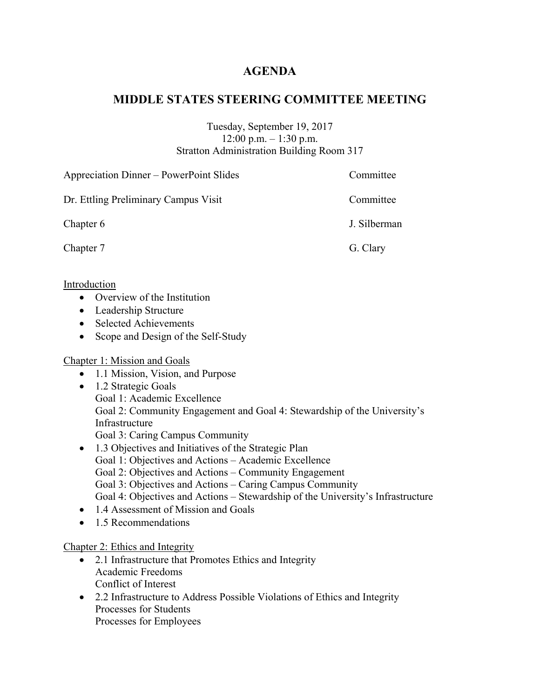## **AGENDA**

## **MIDDLE STATES STEERING COMMITTEE MEETING**

Tuesday, September 19, 2017 12:00 p.m. – 1:30 p.m. Stratton Administration Building Room 317

| Appreciation Dinner – PowerPoint Slides | Committee    |
|-----------------------------------------|--------------|
| Dr. Ettling Preliminary Campus Visit    | Committee    |
| Chapter 6                               | J. Silberman |
| Chapter 7                               | G. Clary     |

Introduction

- Overview of the Institution
- Leadership Structure
- Selected Achievements
- Scope and Design of the Self-Study

#### Chapter 1: Mission and Goals

- 1.1 Mission, Vision, and Purpose
- 1.2 Strategic Goals Goal 1: Academic Excellence Goal 2: Community Engagement and Goal 4: Stewardship of the University's Infrastructure Goal 3: Caring Campus Community
- 1.3 Objectives and Initiatives of the Strategic Plan Goal 1: Objectives and Actions – Academic Excellence Goal 2: Objectives and Actions – Community Engagement Goal 3: Objectives and Actions – Caring Campus Community Goal 4: Objectives and Actions – Stewardship of the University's Infrastructure
- 1.4 Assessment of Mission and Goals
- 1.5 Recommendations

#### Chapter 2: Ethics and Integrity

- 2.1 Infrastructure that Promotes Ethics and Integrity Academic Freedoms Conflict of Interest
- 2.2 Infrastructure to Address Possible Violations of Ethics and Integrity Processes for Students Processes for Employees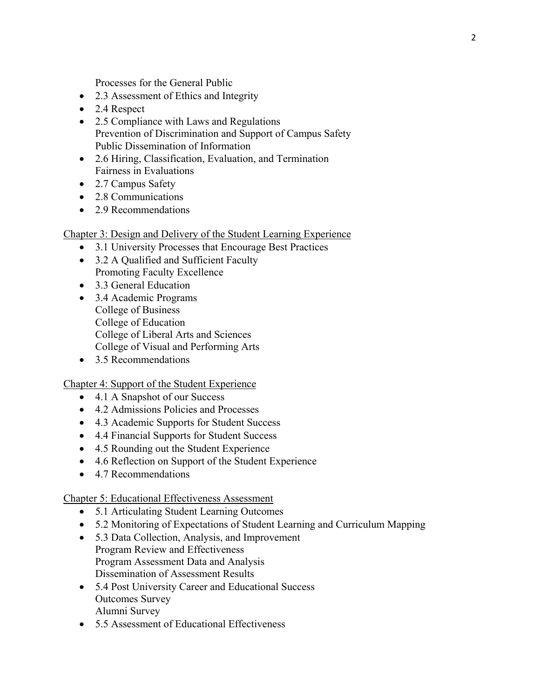Processes for the General Public

- 2.3 Assessment of Ethics and Integrity
- 2.4 Respect
- 2.5 Compliance with Laws and Regulations Prevention of Discrimination and Support of Campus Safety Public Dissemination of Information
- 2.6 Hiring, Classification, Evaluation, and Termination Fairness in Evaluations
- 2.7 Campus Safety
- 2.8 Communications
- 2.9 Recommendations

Chapter 3: Design and Delivery of the Student Learning Experience

- 3.1 University Processes that Encourage Best Practices
- 3.2 A Qualified and Sufficient Faculty Promoting Faculty Excellence
- 3.3 General Education
- 3.4 Academic Programs College of Business College of Education College of Liberal Arts and Sciences College of Visual and Performing Arts
- 3.5 Recommendations

#### Chapter 4: Support of the Student Experience

- 4.1 A Snapshot of our Success
- 4.2 Admissions Policies and Processes
- 4.3 Academic Supports for Student Success
- 4.4 Financial Supports for Student Success
- 4.5 Rounding out the Student Experience
- 4.6 Reflection on Support of the Student Experience
- 4.7 Recommendations

#### Chapter 5: Educational Effectiveness Assessment

- 5.1 Articulating Student Learning Outcomes
- 5.2 Monitoring of Expectations of Student Learning and Curriculum Mapping
- 5.3 Data Collection, Analysis, and Improvement Program Review and Effectiveness Program Assessment Data and Analysis Dissemination of Assessment Results
- 5.4 Post University Career and Educational Success Outcomes Survey Alumni Survey
- 5.5 Assessment of Educational Effectiveness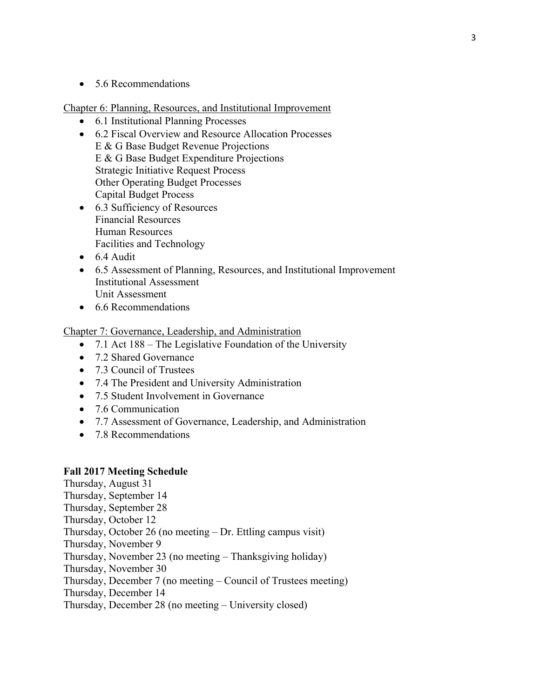• 5.6 Recommendations

Chapter 6: Planning, Resources, and Institutional Improvement

- 6.1 Institutional Planning Processes
- 6.2 Fiscal Overview and Resource Allocation Processes E & G Base Budget Revenue Projections E & G Base Budget Expenditure Projections Strategic Initiative Request Process Other Operating Budget Processes Capital Budget Process
- 6.3 Sufficiency of Resources Financial Resources Human Resources Facilities and Technology
- 6.4 Audit
- 6.5 Assessment of Planning, Resources, and Institutional Improvement Institutional Assessment Unit Assessment
- 6.6 Recommendations

Chapter 7: Governance, Leadership, and Administration

- 7.1 Act 188 The Legislative Foundation of the University
- 7.2 Shared Governance
- 7.3 Council of Trustees
- 7.4 The President and University Administration
- 7.5 Student Involvement in Governance
- 7.6 Communication
- 7.7 Assessment of Governance, Leadership, and Administration
- 7.8 Recommendations

#### **Fall 2017 Meeting Schedule**

Thursday, August 31 Thursday, September 14 Thursday, September 28 Thursday, October 12 Thursday, October 26 (no meeting – Dr. Ettling campus visit) Thursday, November 9 Thursday, November 23 (no meeting – Thanksgiving holiday) Thursday, November 30 Thursday, December 7 (no meeting – Council of Trustees meeting) Thursday, December 14

Thursday, December 28 (no meeting – University closed)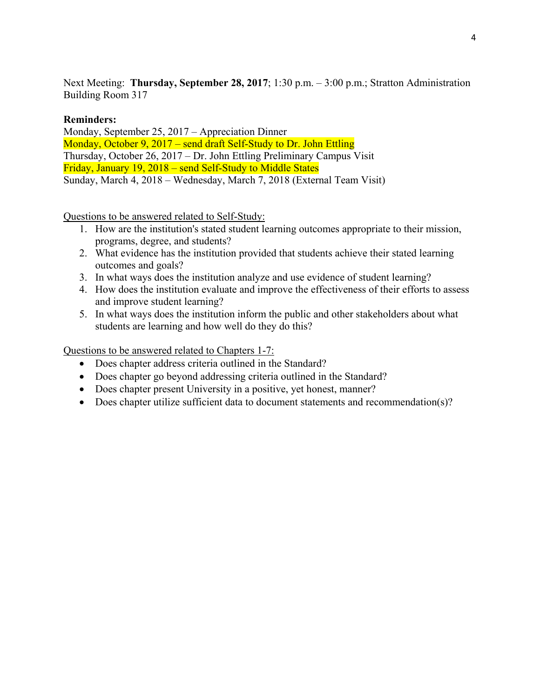Next Meeting: **Thursday, September 28, 2017**; 1:30 p.m. – 3:00 p.m.; Stratton Administration Building Room 317

#### **Reminders:**

Monday, September 25, 2017 – Appreciation Dinner Monday, October 9, 2017 – send draft Self-Study to Dr. John Ettling Thursday, October 26, 2017 – Dr. John Ettling Preliminary Campus Visit Friday, January 19, 2018 – send Self-Study to Middle States Sunday, March 4, 2018 – Wednesday, March 7, 2018 (External Team Visit)

Questions to be answered related to Self-Study:

- 1. How are the institution's stated student learning outcomes appropriate to their mission, programs, degree, and students?
- 2. What evidence has the institution provided that students achieve their stated learning outcomes and goals?
- 3. In what ways does the institution analyze and use evidence of student learning?
- 4. How does the institution evaluate and improve the effectiveness of their efforts to assess and improve student learning?
- 5. In what ways does the institution inform the public and other stakeholders about what students are learning and how well do they do this?

- Does chapter address criteria outlined in the Standard?
- Does chapter go beyond addressing criteria outlined in the Standard?
- Does chapter present University in a positive, yet honest, manner?
- Does chapter utilize sufficient data to document statements and recommendation(s)?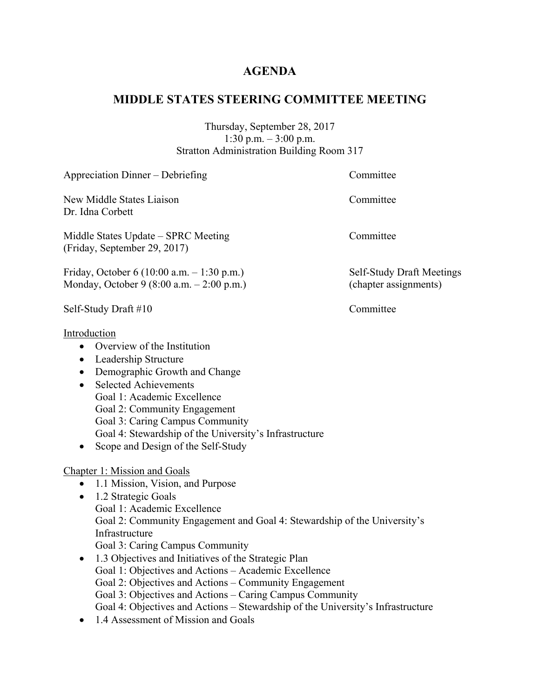## **AGENDA**

## **MIDDLE STATES STEERING COMMITTEE MEETING**

Thursday, September 28, 2017 1:30 p.m. – 3:00 p.m. Stratton Administration Building Room 317

| Appreciation Dinner - Debriefing                                                                                                                                                                                                                                                                                                                                                                                                                                                                                                                                                                                                                          | Committee                                          |
|-----------------------------------------------------------------------------------------------------------------------------------------------------------------------------------------------------------------------------------------------------------------------------------------------------------------------------------------------------------------------------------------------------------------------------------------------------------------------------------------------------------------------------------------------------------------------------------------------------------------------------------------------------------|----------------------------------------------------|
| New Middle States Liaison<br>Dr. Idna Corbett                                                                                                                                                                                                                                                                                                                                                                                                                                                                                                                                                                                                             | Committee                                          |
| Middle States Update - SPRC Meeting<br>(Friday, September 29, 2017)                                                                                                                                                                                                                                                                                                                                                                                                                                                                                                                                                                                       | Committee                                          |
| Friday, October 6 (10:00 a.m. $- 1:30$ p.m.)<br>Monday, October 9 (8:00 a.m. - 2:00 p.m.)                                                                                                                                                                                                                                                                                                                                                                                                                                                                                                                                                                 | Self-Study Draft Meetings<br>(chapter assignments) |
| Self-Study Draft #10                                                                                                                                                                                                                                                                                                                                                                                                                                                                                                                                                                                                                                      | Committee                                          |
| Introduction<br>Overview of the Institution<br>$\bullet$<br>Leadership Structure<br>$\bullet$<br>Demographic Growth and Change<br>$\bullet$<br><b>Selected Achievements</b><br>$\bullet$<br>Goal 1: Academic Excellence<br>Goal 2: Community Engagement<br>Goal 3: Caring Campus Community<br>Goal 4: Stewardship of the University's Infrastructure<br>Scope and Design of the Self-Study                                                                                                                                                                                                                                                                |                                                    |
| <b>Chapter 1: Mission and Goals</b><br>• 1.1 Mission, Vision, and Purpose<br>1.2 Strategic Goals<br>$\bullet$<br>Goal 1: Academic Excellence<br>Goal 2: Community Engagement and Goal 4: Stewardship of the University's<br>Infrastructure<br>Goal 3: Caring Campus Community<br>1.3 Objectives and Initiatives of the Strategic Plan<br>$\bullet$<br>Goal 1: Objectives and Actions - Academic Excellence<br>Goal 2: Objectives and Actions - Community Engagement<br>Goal 3: Objectives and Actions – Caring Campus Community<br>Goal 4: Objectives and Actions - Stewardship of the University's Infrastructure<br>1.4 Assessment of Mission and Goals |                                                    |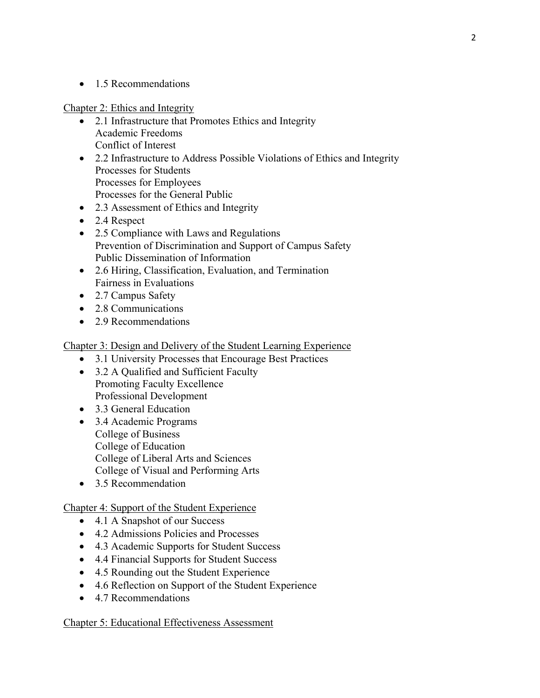• 1.5 Recommendations

Chapter 2: Ethics and Integrity

- 2.1 Infrastructure that Promotes Ethics and Integrity Academic Freedoms Conflict of Interest
- 2.2 Infrastructure to Address Possible Violations of Ethics and Integrity Processes for Students Processes for Employees Processes for the General Public
- 2.3 Assessment of Ethics and Integrity
- 2.4 Respect
- 2.5 Compliance with Laws and Regulations Prevention of Discrimination and Support of Campus Safety Public Dissemination of Information
- 2.6 Hiring, Classification, Evaluation, and Termination Fairness in Evaluations
- 2.7 Campus Safety
- 2.8 Communications
- 2.9 Recommendations

Chapter 3: Design and Delivery of the Student Learning Experience

- 3.1 University Processes that Encourage Best Practices
- 3.2 A Qualified and Sufficient Faculty Promoting Faculty Excellence Professional Development
- 3.3 General Education
- 3.4 Academic Programs College of Business College of Education College of Liberal Arts and Sciences College of Visual and Performing Arts
- 3.5 Recommendation

Chapter 4: Support of the Student Experience

- 4.1 A Snapshot of our Success
- 4.2 Admissions Policies and Processes
- 4.3 Academic Supports for Student Success
- 4.4 Financial Supports for Student Success
- 4.5 Rounding out the Student Experience
- 4.6 Reflection on Support of the Student Experience
- 4.7 Recommendations

#### Chapter 5: Educational Effectiveness Assessment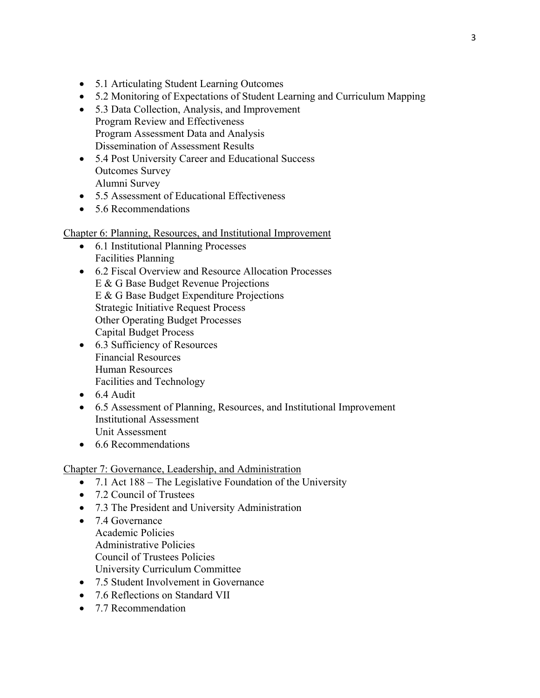- 5.1 Articulating Student Learning Outcomes
- 5.2 Monitoring of Expectations of Student Learning and Curriculum Mapping
- 5.3 Data Collection, Analysis, and Improvement Program Review and Effectiveness Program Assessment Data and Analysis Dissemination of Assessment Results
- 5.4 Post University Career and Educational Success Outcomes Survey Alumni Survey
- 5.5 Assessment of Educational Effectiveness
- 5.6 Recommendations

#### Chapter 6: Planning, Resources, and Institutional Improvement

- 6.1 Institutional Planning Processes Facilities Planning
- 6.2 Fiscal Overview and Resource Allocation Processes E & G Base Budget Revenue Projections E & G Base Budget Expenditure Projections Strategic Initiative Request Process Other Operating Budget Processes Capital Budget Process
- 6.3 Sufficiency of Resources Financial Resources Human Resources Facilities and Technology
- $\bullet$  6.4 Audit
- 6.5 Assessment of Planning, Resources, and Institutional Improvement Institutional Assessment Unit Assessment
- 6.6 Recommendations

#### Chapter 7: Governance, Leadership, and Administration

- 7.1 Act 188 The Legislative Foundation of the University
- 7.2 Council of Trustees
- 7.3 The President and University Administration
- 7.4 Governance Academic Policies Administrative Policies Council of Trustees Policies University Curriculum Committee
- 7.5 Student Involvement in Governance
- 7.6 Reflections on Standard VII
- 7.7 Recommendation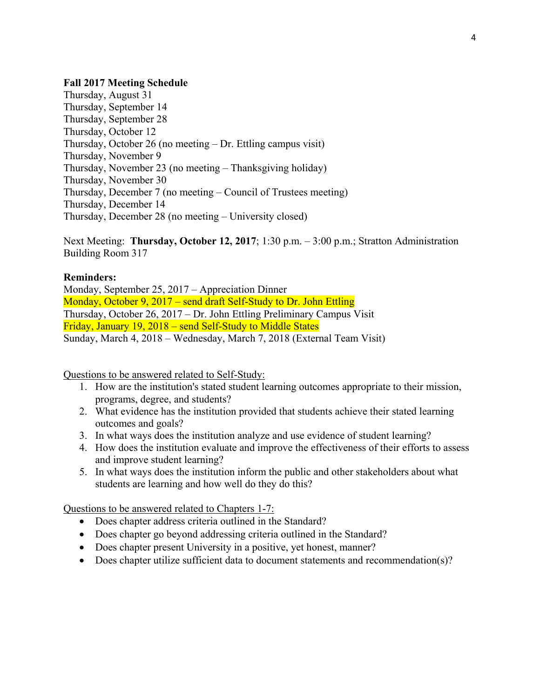#### **Fall 2017 Meeting Schedule**

Thursday, August 31 Thursday, September 14 Thursday, September 28 Thursday, October 12 Thursday, October 26 (no meeting – Dr. Ettling campus visit) Thursday, November 9 Thursday, November 23 (no meeting – Thanksgiving holiday) Thursday, November 30 Thursday, December 7 (no meeting – Council of Trustees meeting) Thursday, December 14 Thursday, December 28 (no meeting – University closed)

Next Meeting: **Thursday, October 12, 2017**; 1:30 p.m. – 3:00 p.m.; Stratton Administration Building Room 317

#### **Reminders:**

Monday, September 25, 2017 – Appreciation Dinner Monday, October 9, 2017 – send draft Self-Study to Dr. John Ettling Thursday, October 26, 2017 – Dr. John Ettling Preliminary Campus Visit Friday, January 19, 2018 – send Self-Study to Middle States Sunday, March 4, 2018 – Wednesday, March 7, 2018 (External Team Visit)

Questions to be answered related to Self-Study:

- 1. How are the institution's stated student learning outcomes appropriate to their mission, programs, degree, and students?
- 2. What evidence has the institution provided that students achieve their stated learning outcomes and goals?
- 3. In what ways does the institution analyze and use evidence of student learning?
- 4. How does the institution evaluate and improve the effectiveness of their efforts to assess and improve student learning?
- 5. In what ways does the institution inform the public and other stakeholders about what students are learning and how well do they do this?

- Does chapter address criteria outlined in the Standard?
- Does chapter go beyond addressing criteria outlined in the Standard?
- Does chapter present University in a positive, yet honest, manner?
- Does chapter utilize sufficient data to document statements and recommendation(s)?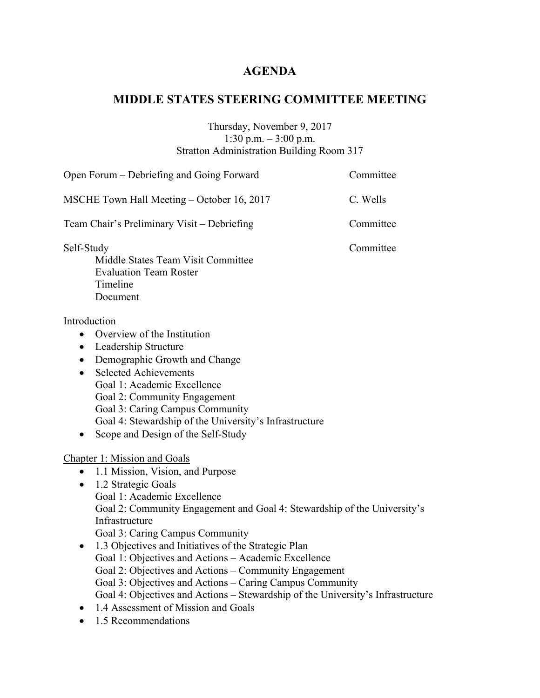## **AGENDA**

## **MIDDLE STATES STEERING COMMITTEE MEETING**

#### Thursday, November 9, 2017 1:30 p.m. – 3:00 p.m. Stratton Administration Building Room 317

| Open Forum - Debriefing and Going Forward                                                                                                                                                                                                                                                                                                                                                                                                                                                                                                                                                                                                                                         | Committee |
|-----------------------------------------------------------------------------------------------------------------------------------------------------------------------------------------------------------------------------------------------------------------------------------------------------------------------------------------------------------------------------------------------------------------------------------------------------------------------------------------------------------------------------------------------------------------------------------------------------------------------------------------------------------------------------------|-----------|
| MSCHE Town Hall Meeting - October 16, 2017                                                                                                                                                                                                                                                                                                                                                                                                                                                                                                                                                                                                                                        | C. Wells  |
| Team Chair's Preliminary Visit - Debriefing                                                                                                                                                                                                                                                                                                                                                                                                                                                                                                                                                                                                                                       | Committee |
| Self-Study<br>Middle States Team Visit Committee<br><b>Evaluation Team Roster</b><br>Timeline<br>Document                                                                                                                                                                                                                                                                                                                                                                                                                                                                                                                                                                         | Committee |
| Introduction<br>• Overview of the Institution<br>• Leadership Structure<br>Demographic Growth and Change<br>$\bullet$<br><b>Selected Achievements</b><br>$\bullet$<br>Goal 1: Academic Excellence<br>Goal 2: Community Engagement<br>Goal 3: Caring Campus Community<br>Goal 4: Stewardship of the University's Infrastructure<br>Scope and Design of the Self-Study<br>$\bullet$                                                                                                                                                                                                                                                                                                 |           |
| <b>Chapter 1: Mission and Goals</b><br>1.1 Mission, Vision, and Purpose<br>$\bullet$<br>1.2 Strategic Goals<br>$\bullet$<br>Goal 1: Academic Excellence<br>Goal 2: Community Engagement and Goal 4: Stewardship of the University's<br>Infrastructure<br>Goal 3: Caring Campus Community<br>1.3 Objectives and Initiatives of the Strategic Plan<br>$\bullet$<br>Goal 1: Objectives and Actions - Academic Excellence<br>Goal 2: Objectives and Actions – Community Engagement<br>Goal 3: Objectives and Actions - Caring Campus Community<br>Goal 4: Objectives and Actions - Stewardship of the University's Infrastructure<br>1.4 Assessment of Mission and Goals<br>$\bullet$ |           |

• 1.5 Recommendations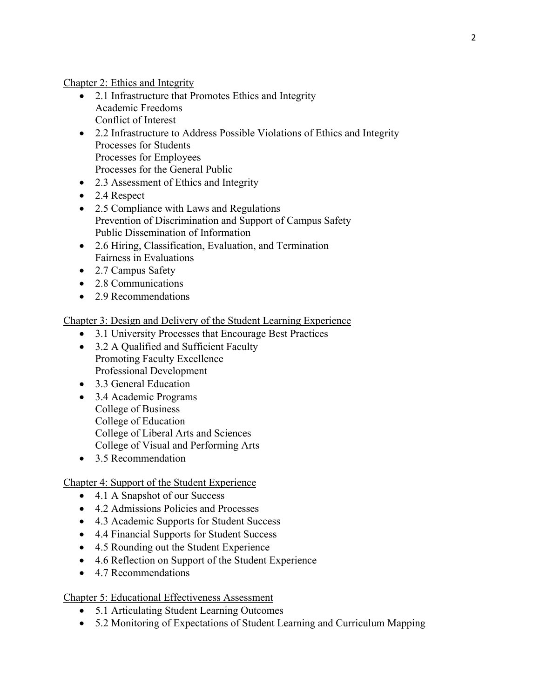Chapter 2: Ethics and Integrity

- 2.1 Infrastructure that Promotes Ethics and Integrity Academic Freedoms Conflict of Interest
- 2.2 Infrastructure to Address Possible Violations of Ethics and Integrity Processes for Students Processes for Employees Processes for the General Public
- 2.3 Assessment of Ethics and Integrity
- 2.4 Respect
- 2.5 Compliance with Laws and Regulations Prevention of Discrimination and Support of Campus Safety Public Dissemination of Information
- 2.6 Hiring, Classification, Evaluation, and Termination Fairness in Evaluations
- 2.7 Campus Safety
- 2.8 Communications
- 2.9 Recommendations

Chapter 3: Design and Delivery of the Student Learning Experience

- 3.1 University Processes that Encourage Best Practices
- 3.2 A Qualified and Sufficient Faculty Promoting Faculty Excellence Professional Development
- 3.3 General Education
- 3.4 Academic Programs College of Business College of Education College of Liberal Arts and Sciences College of Visual and Performing Arts
- 3.5 Recommendation

#### Chapter 4: Support of the Student Experience

- 4.1 A Snapshot of our Success
- 4.2 Admissions Policies and Processes
- 4.3 Academic Supports for Student Success
- 4.4 Financial Supports for Student Success
- 4.5 Rounding out the Student Experience
- 4.6 Reflection on Support of the Student Experience
- 4.7 Recommendations

#### Chapter 5: Educational Effectiveness Assessment

- 5.1 Articulating Student Learning Outcomes
- 5.2 Monitoring of Expectations of Student Learning and Curriculum Mapping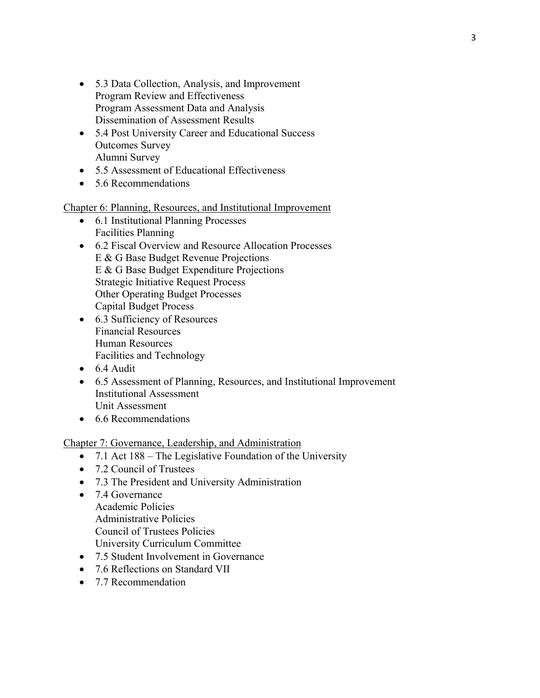- 5.3 Data Collection, Analysis, and Improvement Program Review and Effectiveness Program Assessment Data and Analysis Dissemination of Assessment Results
- 5.4 Post University Career and Educational Success Outcomes Survey Alumni Survey
- 5.5 Assessment of Educational Effectiveness
- 5.6 Recommendations

#### Chapter 6: Planning, Resources, and Institutional Improvement

- 6.1 Institutional Planning Processes Facilities Planning
- 6.2 Fiscal Overview and Resource Allocation Processes E & G Base Budget Revenue Projections E & G Base Budget Expenditure Projections Strategic Initiative Request Process Other Operating Budget Processes Capital Budget Process
- 6.3 Sufficiency of Resources Financial Resources Human Resources Facilities and Technology
- 6.4 Audit
- 6.5 Assessment of Planning, Resources, and Institutional Improvement Institutional Assessment Unit Assessment
- 6.6 Recommendations

#### Chapter 7: Governance, Leadership, and Administration

- 7.1 Act 188 The Legislative Foundation of the University
- 7.2 Council of Trustees
- 7.3 The President and University Administration
- 7.4 Governance Academic Policies Administrative Policies Council of Trustees Policies University Curriculum Committee
- 7.5 Student Involvement in Governance
- 7.6 Reflections on Standard VII
- 7.7 Recommendation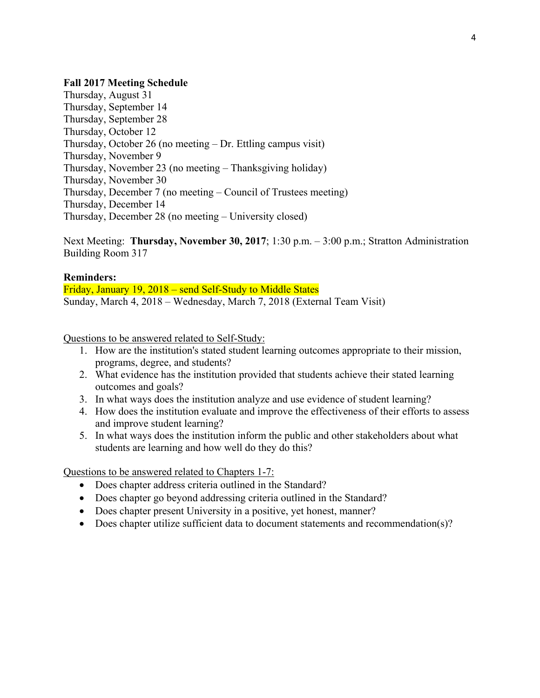#### **Fall 2017 Meeting Schedule**

Thursday, August 31 Thursday, September 14 Thursday, September 28 Thursday, October 12 Thursday, October 26 (no meeting – Dr. Ettling campus visit) Thursday, November 9 Thursday, November 23 (no meeting – Thanksgiving holiday) Thursday, November 30 Thursday, December 7 (no meeting – Council of Trustees meeting) Thursday, December 14 Thursday, December 28 (no meeting – University closed)

Next Meeting: **Thursday, November 30, 2017**; 1:30 p.m. – 3:00 p.m.; Stratton Administration Building Room 317

#### **Reminders:**

Friday, January 19, 2018 – send Self-Study to Middle States Sunday, March 4, 2018 – Wednesday, March 7, 2018 (External Team Visit)

Questions to be answered related to Self-Study:

- 1. How are the institution's stated student learning outcomes appropriate to their mission, programs, degree, and students?
- 2. What evidence has the institution provided that students achieve their stated learning outcomes and goals?
- 3. In what ways does the institution analyze and use evidence of student learning?
- 4. How does the institution evaluate and improve the effectiveness of their efforts to assess and improve student learning?
- 5. In what ways does the institution inform the public and other stakeholders about what students are learning and how well do they do this?

- Does chapter address criteria outlined in the Standard?
- Does chapter go beyond addressing criteria outlined in the Standard?
- Does chapter present University in a positive, yet honest, manner?
- Does chapter utilize sufficient data to document statements and recommendation(s)?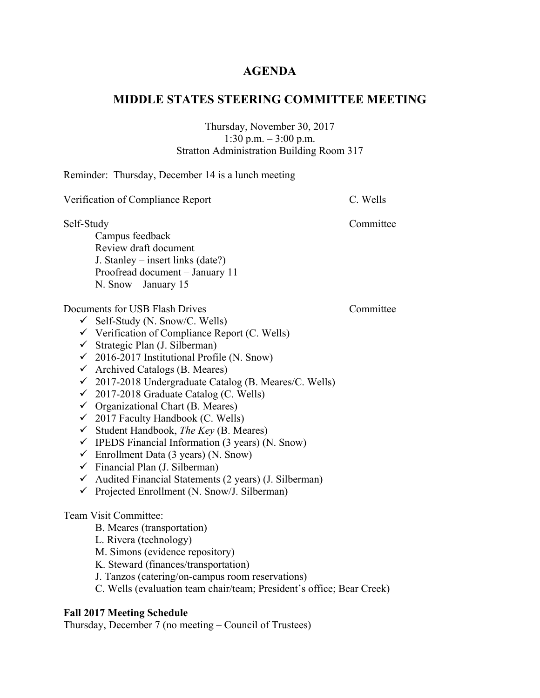## **AGENDA**

## **MIDDLE STATES STEERING COMMITTEE MEETING**

#### Thursday, November 30, 2017 1:30 p.m. – 3:00 p.m. Stratton Administration Building Room 317

Reminder: Thursday, December 14 is a lunch meeting

| Verification of Compliance Report                                                                                                                                                                                                                                                                                                                                                                                                                                                                                                                                                                                                                                                                                                                                                                                                                                       | C. Wells  |
|-------------------------------------------------------------------------------------------------------------------------------------------------------------------------------------------------------------------------------------------------------------------------------------------------------------------------------------------------------------------------------------------------------------------------------------------------------------------------------------------------------------------------------------------------------------------------------------------------------------------------------------------------------------------------------------------------------------------------------------------------------------------------------------------------------------------------------------------------------------------------|-----------|
| Self-Study<br>Campus feedback<br>Review draft document<br>J. Stanley – insert links (date?)<br>Proofread document - January 11<br>N. Snow - January 15                                                                                                                                                                                                                                                                                                                                                                                                                                                                                                                                                                                                                                                                                                                  | Committee |
| Documents for USB Flash Drives<br>$\checkmark$ Self-Study (N. Snow/C. Wells)<br>$\checkmark$ Verification of Compliance Report (C. Wells)<br>√ Strategic Plan (J. Silberman)<br>$\checkmark$ 2016-2017 Institutional Profile (N. Snow)<br>$\checkmark$ Archived Catalogs (B. Meares)<br>$\checkmark$ 2017-2018 Undergraduate Catalog (B. Meares/C. Wells)<br>$\checkmark$ 2017-2018 Graduate Catalog (C. Wells)<br>$\checkmark$ Organizational Chart (B. Meares)<br>$\checkmark$ 2017 Faculty Handbook (C. Wells)<br>$\checkmark$ Student Handbook, <i>The Key</i> (B. Meares)<br>$\checkmark$ IPEDS Financial Information (3 years) (N. Snow)<br>$\checkmark$ Enrollment Data (3 years) (N. Snow)<br>$\checkmark$ Financial Plan (J. Silberman)<br>$\checkmark$ Audited Financial Statements (2 years) (J. Silberman)<br>← Projected Enrollment (N. Snow/J. Silberman) | Committee |
| Team Visit Committee:<br>B. Meares (transportation)<br>L. Rivera (technology)<br>M. Simons (evidence repository)<br>K. Steward (finances/transportation)<br>J. Tanzos (catering/on-campus room reservations)<br>C. Wells (evaluation team chair/team; President's office; Bear Creek)<br><b>Fall 2017 Meeting Schedule</b>                                                                                                                                                                                                                                                                                                                                                                                                                                                                                                                                              |           |
| Thursday, December 7 (no meeting – Council of Trustees)                                                                                                                                                                                                                                                                                                                                                                                                                                                                                                                                                                                                                                                                                                                                                                                                                 |           |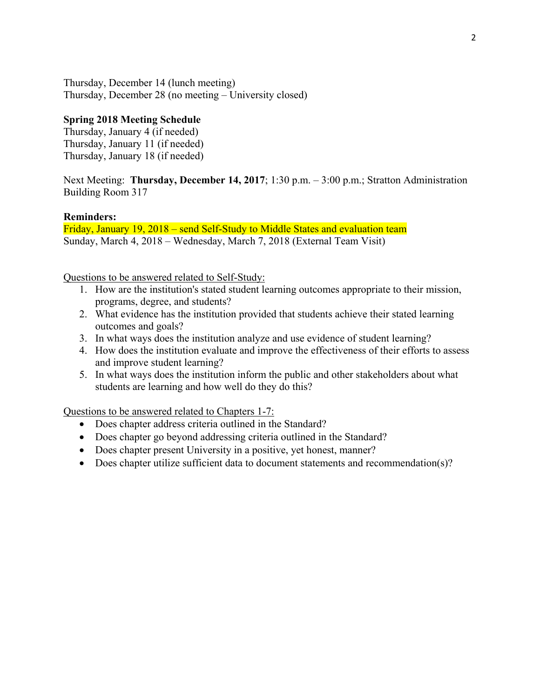Thursday, December 14 (lunch meeting) Thursday, December 28 (no meeting – University closed)

#### **Spring 2018 Meeting Schedule**

Thursday, January 4 (if needed) Thursday, January 11 (if needed) Thursday, January 18 (if needed)

Next Meeting: **Thursday, December 14, 2017**; 1:30 p.m. – 3:00 p.m.; Stratton Administration Building Room 317

#### **Reminders:**

Friday, January 19, 2018 – send Self-Study to Middle States and evaluation team Sunday, March 4, 2018 – Wednesday, March 7, 2018 (External Team Visit)

Questions to be answered related to Self-Study:

- 1. How are the institution's stated student learning outcomes appropriate to their mission, programs, degree, and students?
- 2. What evidence has the institution provided that students achieve their stated learning outcomes and goals?
- 3. In what ways does the institution analyze and use evidence of student learning?
- 4. How does the institution evaluate and improve the effectiveness of their efforts to assess and improve student learning?
- 5. In what ways does the institution inform the public and other stakeholders about what students are learning and how well do they do this?

- Does chapter address criteria outlined in the Standard?
- Does chapter go beyond addressing criteria outlined in the Standard?
- Does chapter present University in a positive, yet honest, manner?
- Does chapter utilize sufficient data to document statements and recommendation(s)?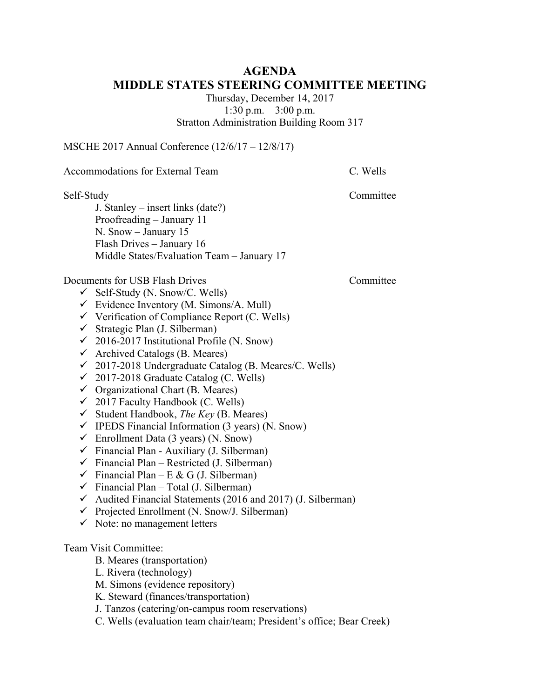## **AGENDA MIDDLE STATES STEERING COMMITTEE MEETING**

Thursday, December 14, 2017 1:30 p.m. – 3:00 p.m. Stratton Administration Building Room 317

MSCHE 2017 Annual Conference (12/6/17 – 12/8/17)

Accommodations for External Team C. Wells

Self-Study Committee

J. Stanley – insert links (date?) Proofreading – January 11 N. Snow – January 15 Flash Drives – January 16 Middle States/Evaluation Team – January 17

Documents for USB Flash Drives Committee

- $\checkmark$  Self-Study (N. Snow/C. Wells)
- $\checkmark$  Evidence Inventory (M. Simons/A. Mull)
- $\checkmark$  Verification of Compliance Report (C. Wells)
- $\checkmark$  Strategic Plan (J. Silberman)
- $\checkmark$  2016-2017 Institutional Profile (N. Snow)
- $\checkmark$  Archived Catalogs (B. Meares)
- $\checkmark$  2017-2018 Undergraduate Catalog (B. Meares/C. Wells)
- $\checkmark$  2017-2018 Graduate Catalog (C. Wells)
- $\checkmark$  Organizational Chart (B. Meares)
- $\checkmark$  2017 Faculty Handbook (C. Wells)
- Student Handbook, *The Key* (B. Meares)
- $\checkmark$  IPEDS Financial Information (3 years) (N. Snow)
- $\checkmark$  Enrollment Data (3 years) (N. Snow)
- $\checkmark$  Financial Plan Auxiliary (J. Silberman)
- $\checkmark$  Financial Plan Restricted (J. Silberman)
- $\checkmark$  Financial Plan E & G (J. Silberman)
- $\checkmark$  Financial Plan Total (J. Silberman)
- $\checkmark$  Audited Financial Statements (2016 and 2017) (J. Silberman)
- $\checkmark$  Projected Enrollment (N. Snow/J. Silberman)
- $\checkmark$  Note: no management letters

#### Team Visit Committee:

- B. Meares (transportation)
- L. Rivera (technology)
- M. Simons (evidence repository)
- K. Steward (finances/transportation)
- J. Tanzos (catering/on-campus room reservations)
- C. Wells (evaluation team chair/team; President's office; Bear Creek)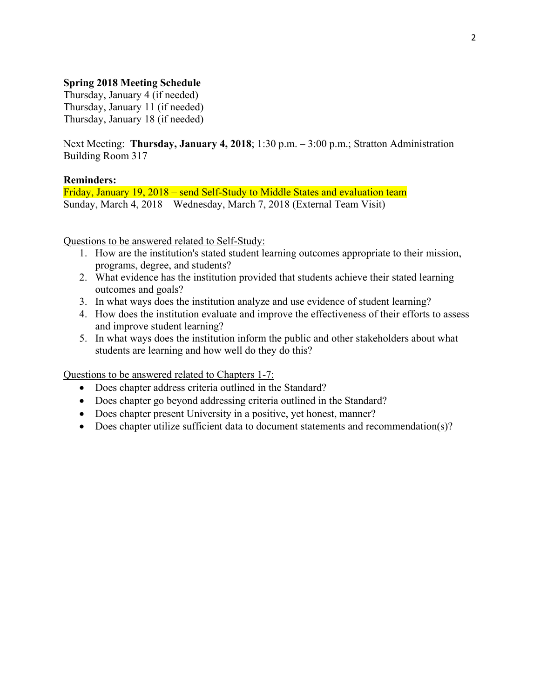#### **Spring 2018 Meeting Schedule**

Thursday, January 4 (if needed) Thursday, January 11 (if needed) Thursday, January 18 (if needed)

Next Meeting: **Thursday, January 4, 2018**; 1:30 p.m. – 3:00 p.m.; Stratton Administration Building Room 317

#### **Reminders:**

Friday, January 19, 2018 – send Self-Study to Middle States and evaluation team Sunday, March 4, 2018 – Wednesday, March 7, 2018 (External Team Visit)

Questions to be answered related to Self-Study:

- 1. How are the institution's stated student learning outcomes appropriate to their mission, programs, degree, and students?
- 2. What evidence has the institution provided that students achieve their stated learning outcomes and goals?
- 3. In what ways does the institution analyze and use evidence of student learning?
- 4. How does the institution evaluate and improve the effectiveness of their efforts to assess and improve student learning?
- 5. In what ways does the institution inform the public and other stakeholders about what students are learning and how well do they do this?

- Does chapter address criteria outlined in the Standard?
- Does chapter go beyond addressing criteria outlined in the Standard?
- Does chapter present University in a positive, yet honest, manner?
- Does chapter utilize sufficient data to document statements and recommendation(s)?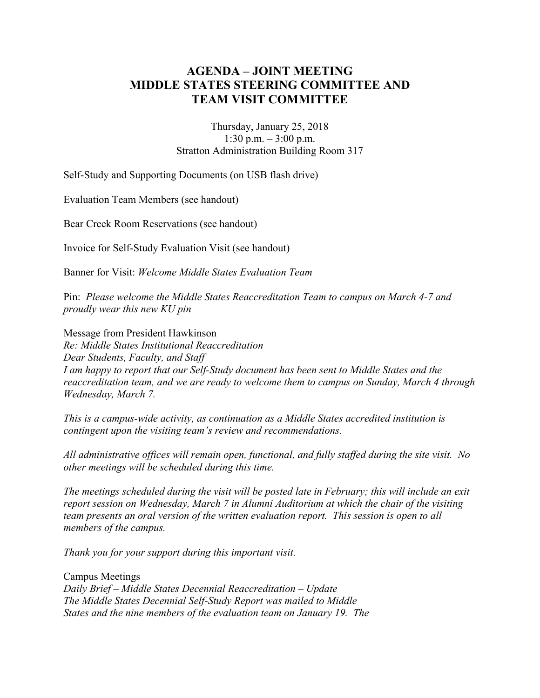## **AGENDA – JOINT MEETING MIDDLE STATES STEERING COMMITTEE AND TEAM VISIT COMMITTEE**

Thursday, January 25, 2018 1:30 p.m. – 3:00 p.m. Stratton Administration Building Room 317

Self-Study and Supporting Documents (on USB flash drive)

Evaluation Team Members (see handout)

Bear Creek Room Reservations (see handout)

Invoice for Self-Study Evaluation Visit (see handout)

Banner for Visit: *Welcome Middle States Evaluation Team*

Pin: *Please welcome the Middle States Reaccreditation Team to campus on March 4-7 and proudly wear this new KU pin*

Message from President Hawkinson *Re: Middle States Institutional Reaccreditation Dear Students, Faculty, and Staff I am happy to report that our Self-Study document has been sent to Middle States and the reaccreditation team, and we are ready to welcome them to campus on Sunday, March 4 through Wednesday, March 7.* 

*This is a campus-wide activity, as continuation as a Middle States accredited institution is contingent upon the visiting team's review and recommendations.* 

*All administrative offices will remain open, functional, and fully staffed during the site visit. No other meetings will be scheduled during this time.*

*The meetings scheduled during the visit will be posted late in February; this will include an exit report session on Wednesday, March 7 in Alumni Auditorium at which the chair of the visiting team presents an oral version of the written evaluation report. This session is open to all members of the campus.* 

*Thank you for your support during this important visit.*

Campus Meetings *Daily Brief – Middle States Decennial Reaccreditation – Update The Middle States Decennial Self-Study Report was mailed to Middle States and the nine members of the evaluation team on January 19. The*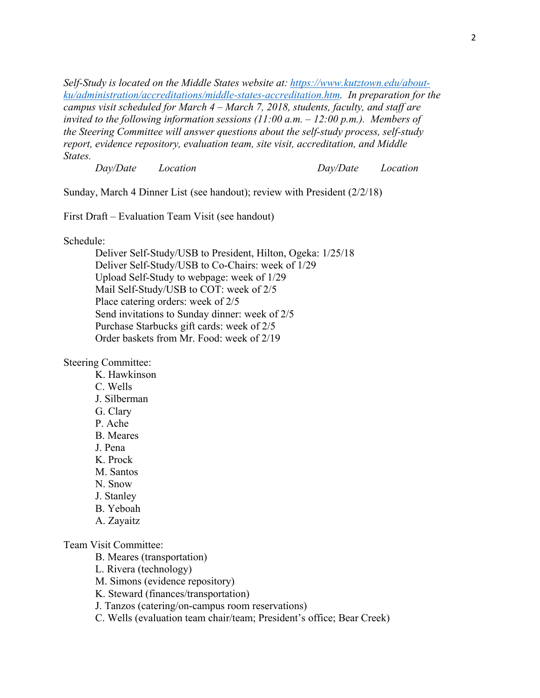*Self-Study is located on the Middle States website at: [https://www.kutztown.edu/about](https://www.kutztown.edu/about-ku/administration/accreditations/middle-states-accreditation.htm)[ku/administration/accreditations/middle-states-accreditation.htm.](https://www.kutztown.edu/about-ku/administration/accreditations/middle-states-accreditation.htm) In preparation for the campus visit scheduled for March 4 – March 7, 2018, students, faculty, and staff are invited to the following information sessions (11:00 a.m. – 12:00 p.m.). Members of the Steering Committee will answer questions about the self-study process, self-study report, evidence repository, evaluation team, site visit, accreditation, and Middle States.*

*Day/Date Location Day/Date Location*

Sunday, March 4 Dinner List (see handout); review with President (2/2/18)

First Draft – Evaluation Team Visit (see handout)

Schedule:

Deliver Self-Study/USB to President, Hilton, Ogeka: 1/25/18 Deliver Self-Study/USB to Co-Chairs: week of 1/29 Upload Self-Study to webpage: week of 1/29 Mail Self-Study/USB to COT: week of 2/5 Place catering orders: week of 2/5 Send invitations to Sunday dinner: week of 2/5 Purchase Starbucks gift cards: week of 2/5 Order baskets from Mr. Food: week of 2/19

Steering Committee:

K. Hawkinson

- C. Wells
- J. Silberman
- G. Clary P. Ache
- B. Meares
- J. Pena
- K. Prock
- M. Santos
- N. Snow
- J. Stanley
- B. Yeboah
- A. Zayaitz

#### Team Visit Committee:

B. Meares (transportation)

- L. Rivera (technology)
- M. Simons (evidence repository)
- K. Steward (finances/transportation)
- J. Tanzos (catering/on-campus room reservations)
- C. Wells (evaluation team chair/team; President's office; Bear Creek)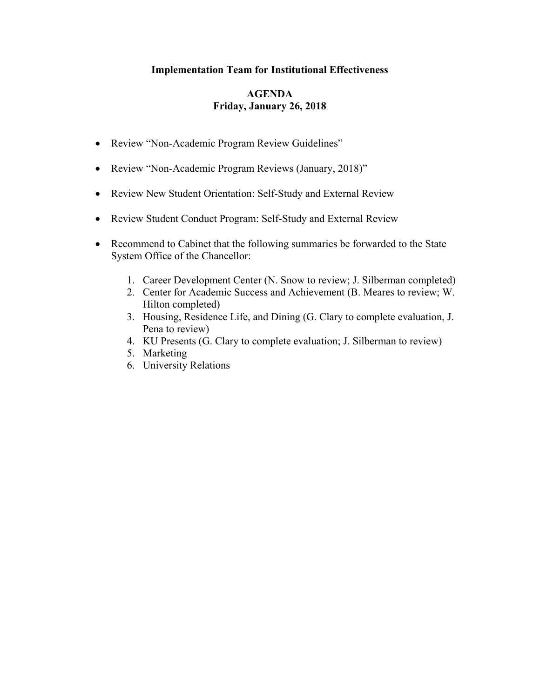#### **Implementation Team for Institutional Effectiveness**

#### **AGENDA Friday, January 26, 2018**

- Review "Non-Academic Program Review Guidelines"
- Review "Non-Academic Program Reviews (January, 2018)"
- Review New Student Orientation: Self-Study and External Review
- Review Student Conduct Program: Self-Study and External Review
- Recommend to Cabinet that the following summaries be forwarded to the State System Office of the Chancellor:
	- 1. Career Development Center (N. Snow to review; J. Silberman completed)
	- 2. Center for Academic Success and Achievement (B. Meares to review; W. Hilton completed)
	- 3. Housing, Residence Life, and Dining (G. Clary to complete evaluation, J. Pena to review)
	- 4. KU Presents (G. Clary to complete evaluation; J. Silberman to review)
	- 5. Marketing
	- 6. University Relations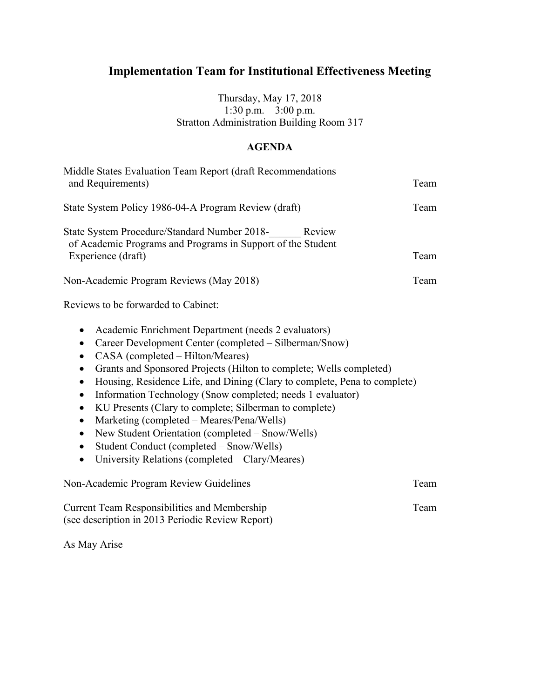# **Implementation Team for Institutional Effectiveness Meeting**

Thursday, May 17, 2018 1:30 p.m. – 3:00 p.m. Stratton Administration Building Room 317

#### **AGENDA**

| Middle States Evaluation Team Report (draft Recommendations<br>and Requirements)                                                                                                                                                                                                                                                                                                                                                                                                                                                                                                                                                                                                                                                                                             | Team |
|------------------------------------------------------------------------------------------------------------------------------------------------------------------------------------------------------------------------------------------------------------------------------------------------------------------------------------------------------------------------------------------------------------------------------------------------------------------------------------------------------------------------------------------------------------------------------------------------------------------------------------------------------------------------------------------------------------------------------------------------------------------------------|------|
| State System Policy 1986-04-A Program Review (draft)                                                                                                                                                                                                                                                                                                                                                                                                                                                                                                                                                                                                                                                                                                                         | Team |
| State System Procedure/Standard Number 2018-<br>Review<br>of Academic Programs and Programs in Support of the Student<br>Experience (draft)                                                                                                                                                                                                                                                                                                                                                                                                                                                                                                                                                                                                                                  | Team |
| Non-Academic Program Reviews (May 2018)                                                                                                                                                                                                                                                                                                                                                                                                                                                                                                                                                                                                                                                                                                                                      | Team |
| Reviews to be forwarded to Cabinet:                                                                                                                                                                                                                                                                                                                                                                                                                                                                                                                                                                                                                                                                                                                                          |      |
| Academic Enrichment Department (needs 2 evaluators)<br>$\bullet$<br>Career Development Center (completed – Silberman/Snow)<br>$\bullet$<br>CASA (completed – Hilton/Meares)<br>$\bullet$<br>Grants and Sponsored Projects (Hilton to complete; Wells completed)<br>$\bullet$<br>Housing, Residence Life, and Dining (Clary to complete, Pena to complete)<br>$\bullet$<br>Information Technology (Snow completed; needs 1 evaluator)<br>$\bullet$<br>KU Presents (Clary to complete; Silberman to complete)<br>$\bullet$<br>Marketing (completed – Meares/Pena/Wells)<br>$\bullet$<br>New Student Orientation (completed – Snow/Wells)<br>$\bullet$<br>Student Conduct (completed - Snow/Wells)<br>$\bullet$<br>University Relations (completed – Clary/Meares)<br>$\bullet$ |      |
| Non-Academic Program Review Guidelines                                                                                                                                                                                                                                                                                                                                                                                                                                                                                                                                                                                                                                                                                                                                       | Team |

Current Team Responsibilities and Membership Team (see description in 2013 Periodic Review Report)

As May Arise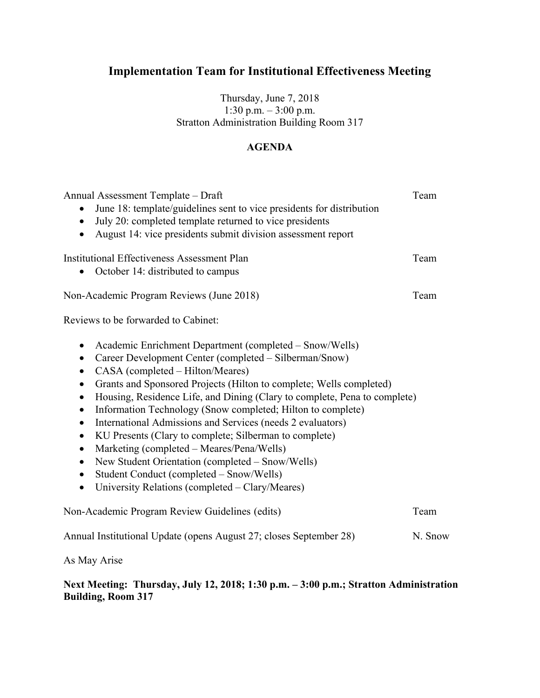# **Implementation Team for Institutional Effectiveness Meeting**

Thursday, June 7, 2018 1:30 p.m. – 3:00 p.m. Stratton Administration Building Room 317

### **AGENDA**

| Annual Assessment Template - Draft<br>June 18: template/guidelines sent to vice presidents for distribution<br>July 20: completed template returned to vice presidents<br>$\bullet$<br>August 14: vice presidents submit division assessment report<br>$\bullet$                                                                                                                                                                                                                                                                                                                                                                                                                                                                                                                                                                                     | Team    |
|------------------------------------------------------------------------------------------------------------------------------------------------------------------------------------------------------------------------------------------------------------------------------------------------------------------------------------------------------------------------------------------------------------------------------------------------------------------------------------------------------------------------------------------------------------------------------------------------------------------------------------------------------------------------------------------------------------------------------------------------------------------------------------------------------------------------------------------------------|---------|
| <b>Institutional Effectiveness Assessment Plan</b><br>October 14: distributed to campus                                                                                                                                                                                                                                                                                                                                                                                                                                                                                                                                                                                                                                                                                                                                                              | Team    |
| Non-Academic Program Reviews (June 2018)                                                                                                                                                                                                                                                                                                                                                                                                                                                                                                                                                                                                                                                                                                                                                                                                             | Team    |
| Reviews to be forwarded to Cabinet:                                                                                                                                                                                                                                                                                                                                                                                                                                                                                                                                                                                                                                                                                                                                                                                                                  |         |
| Academic Enrichment Department (completed – Snow/Wells)<br>٠<br>Career Development Center (completed – Silberman/Snow)<br>$\bullet$<br>CASA (completed – Hilton/Meares)<br>$\bullet$<br>Grants and Sponsored Projects (Hilton to complete; Wells completed)<br>$\bullet$<br>Housing, Residence Life, and Dining (Clary to complete, Pena to complete)<br>$\bullet$<br>Information Technology (Snow completed; Hilton to complete)<br>$\bullet$<br>International Admissions and Services (needs 2 evaluators)<br>$\bullet$<br>KU Presents (Clary to complete; Silberman to complete)<br>$\bullet$<br>Marketing (completed - Meares/Pena/Wells)<br>$\bullet$<br>New Student Orientation (completed - Snow/Wells)<br>$\bullet$<br>Student Conduct (completed - Snow/Wells)<br>$\bullet$<br>University Relations (completed - Clary/Meares)<br>$\bullet$ |         |
| Non-Academic Program Review Guidelines (edits)                                                                                                                                                                                                                                                                                                                                                                                                                                                                                                                                                                                                                                                                                                                                                                                                       | Team    |
| Annual Institutional Update (opens August 27; closes September 28)                                                                                                                                                                                                                                                                                                                                                                                                                                                                                                                                                                                                                                                                                                                                                                                   | N. Snow |
|                                                                                                                                                                                                                                                                                                                                                                                                                                                                                                                                                                                                                                                                                                                                                                                                                                                      |         |

As May Arise

#### **Next Meeting: Thursday, July 12, 2018; 1:30 p.m. – 3:00 p.m.; Stratton Administration Building, Room 317**